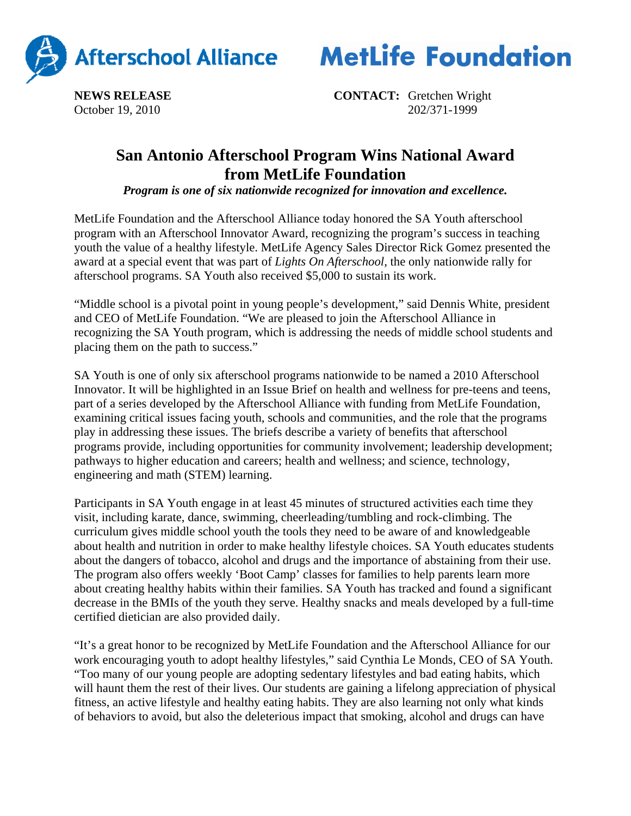



**NEWS RELEASE CONTACT:** Gretchen Wright October 19, 2010202/371-1999

## **San Antonio Afterschool Program Wins National Award from MetLife Foundation**

*Program is one of six nationwide recognized for innovation and excellence.*

MetLife Foundation and the Afterschool Alliance today honored the SA Youth afterschool program with an Afterschool Innovator Award, recognizing the program's success in teaching youth the value of a healthy lifestyle. MetLife Agency Sales Director Rick Gomez presented the award at a special event that was part of *Lights On Afterschool*, the only nationwide rally for afterschool programs. SA Youth also received \$5,000 to sustain its work.

"Middle school is a pivotal point in young people's development," said Dennis White, president and CEO of MetLife Foundation. "We are pleased to join the Afterschool Alliance in recognizing the SA Youth program, which is addressing the needs of middle school students and placing them on the path to success."

SA Youth is one of only six afterschool programs nationwide to be named a 2010 Afterschool Innovator. It will be highlighted in an Issue Brief on health and wellness for pre-teens and teens, part of a series developed by the Afterschool Alliance with funding from MetLife Foundation, examining critical issues facing youth, schools and communities, and the role that the programs play in addressing these issues. The briefs describe a variety of benefits that afterschool programs provide, including opportunities for community involvement; leadership development; pathways to higher education and careers; health and wellness; and science, technology, engineering and math (STEM) learning.

Participants in SA Youth engage in at least 45 minutes of structured activities each time they visit, including karate, dance, swimming, cheerleading/tumbling and rock-climbing. The curriculum gives middle school youth the tools they need to be aware of and knowledgeable about health and nutrition in order to make healthy lifestyle choices. SA Youth educates students about the dangers of tobacco, alcohol and drugs and the importance of abstaining from their use. The program also offers weekly 'Boot Camp' classes for families to help parents learn more about creating healthy habits within their families. SA Youth has tracked and found a significant decrease in the BMIs of the youth they serve. Healthy snacks and meals developed by a full-time certified dietician are also provided daily.

"It's a great honor to be recognized by MetLife Foundation and the Afterschool Alliance for our work encouraging youth to adopt healthy lifestyles," said Cynthia Le Monds, CEO of SA Youth. "Too many of our young people are adopting sedentary lifestyles and bad eating habits, which will haunt them the rest of their lives. Our students are gaining a lifelong appreciation of physical fitness, an active lifestyle and healthy eating habits. They are also learning not only what kinds of behaviors to avoid, but also the deleterious impact that smoking, alcohol and drugs can have